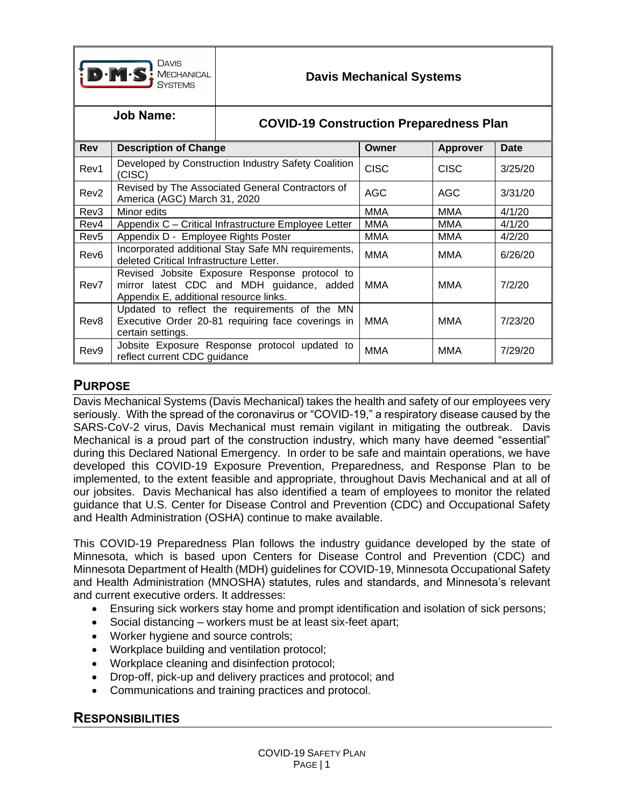

## **Job Name: COVID-19 Construction Preparedness Plan**

| <b>Rev</b>       | <b>Description of Change</b>                                                                                                         | Owner       | Approver    | Date    |
|------------------|--------------------------------------------------------------------------------------------------------------------------------------|-------------|-------------|---------|
| Rev1             | Developed by Construction Industry Safety Coalition<br>(CISC)                                                                        | <b>CISC</b> | <b>CISC</b> | 3/25/20 |
| Rev <sub>2</sub> | Revised by The Associated General Contractors of<br>America (AGC) March 31, 2020                                                     | AGC         | AGC         | 3/31/20 |
| Rev <sub>3</sub> | Minor edits                                                                                                                          | <b>MMA</b>  | MMA         | 4/1/20  |
| Rev4             | Appendix C - Critical Infrastructure Employee Letter                                                                                 | <b>MMA</b>  | <b>MMA</b>  | 4/1/20  |
| Rev <sub>5</sub> | Appendix D - Employee Rights Poster                                                                                                  | MMA         | MMA         | 4/2/20  |
| Rev <sub>6</sub> | Incorporated additional Stay Safe MN requirements,<br>deleted Critical Infrastructure Letter.                                        | MMA         | MMA         | 6/26/20 |
| Rev7             | Revised Jobsite Exposure Response protocol to<br>mirror latest CDC and MDH guidance, added<br>Appendix E, additional resource links. | MMA         | MMA         | 7/2/20  |
| Rev <sub>8</sub> | Updated to reflect the requirements of the MN<br>Executive Order 20-81 requiring face coverings in<br>certain settings.              | MMA         | MMA         | 7/23/20 |
| Rev9             | Jobsite Exposure Response protocol updated to<br>reflect current CDC guidance                                                        | MMA         | MMA         | 7/29/20 |

### **PURPOSE**

Davis Mechanical Systems (Davis Mechanical) takes the health and safety of our employees very seriously. With the spread of the coronavirus or "COVID-19," a respiratory disease caused by the SARS-CoV-2 virus, Davis Mechanical must remain vigilant in mitigating the outbreak. Davis Mechanical is a proud part of the construction industry, which many have deemed "essential" during this Declared National Emergency. In order to be safe and maintain operations, we have developed this COVID-19 Exposure Prevention, Preparedness, and Response Plan to be implemented, to the extent feasible and appropriate, throughout Davis Mechanical and at all of our jobsites. Davis Mechanical has also identified a team of employees to monitor the related guidance that U.S. Center for Disease Control and Prevention (CDC) and Occupational Safety and Health Administration (OSHA) continue to make available.

This COVID-19 Preparedness Plan follows the industry guidance developed by the state of Minnesota, which is based upon Centers for Disease Control and Prevention (CDC) and Minnesota Department of Health (MDH) guidelines for COVID-19, Minnesota Occupational Safety and Health Administration (MNOSHA) statutes, rules and standards, and Minnesota's relevant and current executive orders. It addresses:

- Ensuring sick workers stay home and prompt identification and isolation of sick persons;
- Social distancing workers must be at least six-feet apart;
- Worker hygiene and source controls;
- Workplace building and ventilation protocol;
- Workplace cleaning and disinfection protocol;
- Drop-off, pick-up and delivery practices and protocol; and
- Communications and training practices and protocol.

### **RESPONSIBILITIES**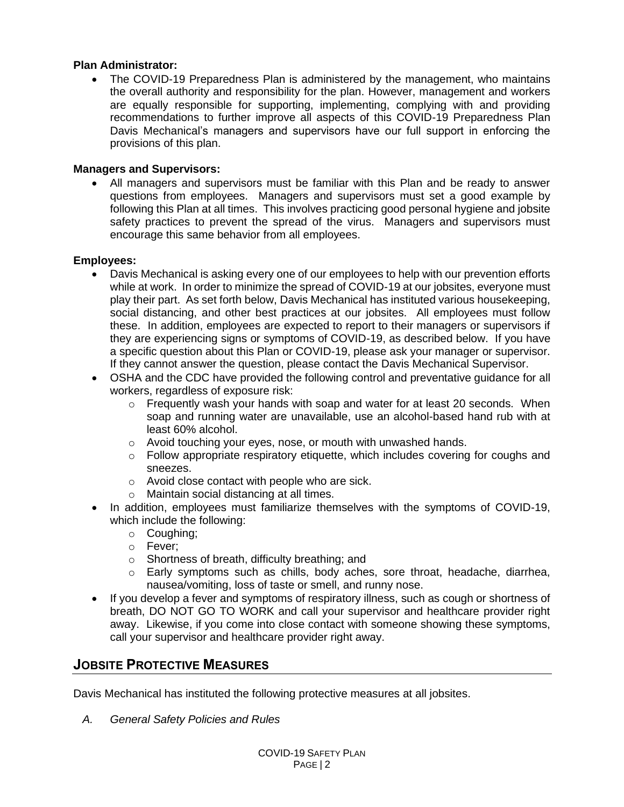#### **Plan Administrator:**

• The COVID-19 Preparedness Plan is administered by the management, who maintains the overall authority and responsibility for the plan. However, management and workers are equally responsible for supporting, implementing, complying with and providing recommendations to further improve all aspects of this COVID-19 Preparedness Plan Davis Mechanical's managers and supervisors have our full support in enforcing the provisions of this plan.

#### **Managers and Supervisors:**

• All managers and supervisors must be familiar with this Plan and be ready to answer questions from employees. Managers and supervisors must set a good example by following this Plan at all times. This involves practicing good personal hygiene and jobsite safety practices to prevent the spread of the virus. Managers and supervisors must encourage this same behavior from all employees.

#### **Employees:**

- Davis Mechanical is asking every one of our employees to help with our prevention efforts while at work. In order to minimize the spread of COVID-19 at our jobsites, everyone must play their part. As set forth below, Davis Mechanical has instituted various housekeeping, social distancing, and other best practices at our jobsites. All employees must follow these. In addition, employees are expected to report to their managers or supervisors if they are experiencing signs or symptoms of COVID-19, as described below. If you have a specific question about this Plan or COVID-19, please ask your manager or supervisor. If they cannot answer the question, please contact the Davis Mechanical Supervisor.
- OSHA and the CDC have provided the following control and preventative guidance for all workers, regardless of exposure risk:
	- o Frequently wash your hands with soap and water for at least 20 seconds. When soap and running water are unavailable, use an alcohol-based hand rub with at least 60% alcohol.
	- o Avoid touching your eyes, nose, or mouth with unwashed hands.
	- $\circ$  Follow appropriate respiratory etiquette, which includes covering for coughs and sneezes.
	- o Avoid close contact with people who are sick.
	- o Maintain social distancing at all times.
- In addition, employees must familiarize themselves with the symptoms of COVID-19, which include the following:
	- o Coughing;
	- o Fever;
	- o Shortness of breath, difficulty breathing; and
	- o Early symptoms such as chills, body aches, sore throat, headache, diarrhea, nausea/vomiting, loss of taste or smell, and runny nose.
- If you develop a fever and symptoms of respiratory illness, such as cough or shortness of breath, DO NOT GO TO WORK and call your supervisor and healthcare provider right away. Likewise, if you come into close contact with someone showing these symptoms, call your supervisor and healthcare provider right away.

### **JOBSITE PROTECTIVE MEASURES**

Davis Mechanical has instituted the following protective measures at all jobsites.

*A. General Safety Policies and Rules*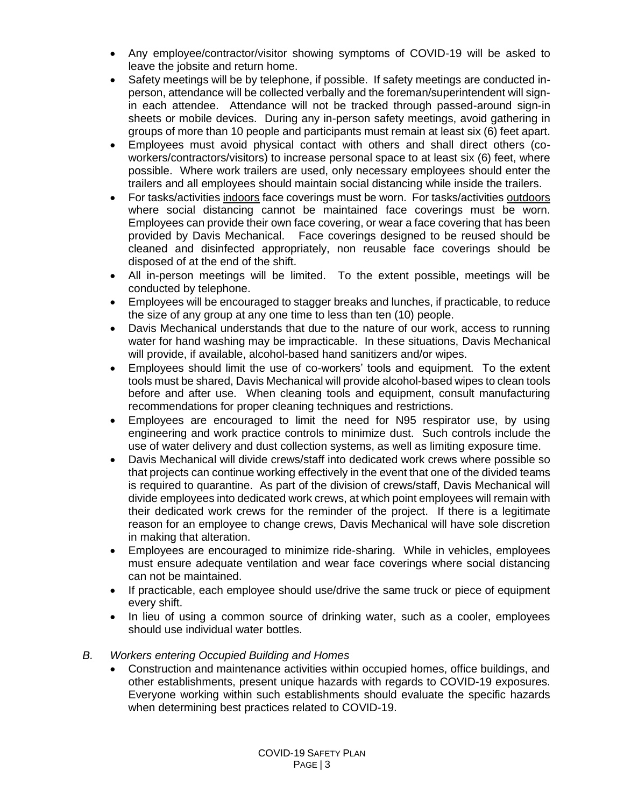- Any employee/contractor/visitor showing symptoms of COVID-19 will be asked to leave the jobsite and return home.
- Safety meetings will be by telephone, if possible. If safety meetings are conducted inperson, attendance will be collected verbally and the foreman/superintendent will signin each attendee. Attendance will not be tracked through passed-around sign-in sheets or mobile devices. During any in-person safety meetings, avoid gathering in groups of more than 10 people and participants must remain at least six (6) feet apart.
- Employees must avoid physical contact with others and shall direct others (coworkers/contractors/visitors) to increase personal space to at least six (6) feet, where possible. Where work trailers are used, only necessary employees should enter the trailers and all employees should maintain social distancing while inside the trailers.
- For tasks/activities indoors face coverings must be worn. For tasks/activities outdoors where social distancing cannot be maintained face coverings must be worn. Employees can provide their own face covering, or wear a face covering that has been provided by Davis Mechanical. Face coverings designed to be reused should be cleaned and disinfected appropriately, non reusable face coverings should be disposed of at the end of the shift.
- All in-person meetings will be limited. To the extent possible, meetings will be conducted by telephone.
- Employees will be encouraged to stagger breaks and lunches, if practicable, to reduce the size of any group at any one time to less than ten (10) people.
- Davis Mechanical understands that due to the nature of our work, access to running water for hand washing may be impracticable. In these situations, Davis Mechanical will provide, if available, alcohol-based hand sanitizers and/or wipes.
- Employees should limit the use of co-workers' tools and equipment. To the extent tools must be shared, Davis Mechanical will provide alcohol-based wipes to clean tools before and after use. When cleaning tools and equipment, consult manufacturing recommendations for proper cleaning techniques and restrictions.
- Employees are encouraged to limit the need for N95 respirator use, by using engineering and work practice controls to minimize dust. Such controls include the use of water delivery and dust collection systems, as well as limiting exposure time.
- Davis Mechanical will divide crews/staff into dedicated work crews where possible so that projects can continue working effectively in the event that one of the divided teams is required to quarantine. As part of the division of crews/staff, Davis Mechanical will divide employees into dedicated work crews, at which point employees will remain with their dedicated work crews for the reminder of the project. If there is a legitimate reason for an employee to change crews, Davis Mechanical will have sole discretion in making that alteration.
- Employees are encouraged to minimize ride-sharing. While in vehicles, employees must ensure adequate ventilation and wear face coverings where social distancing can not be maintained.
- If practicable, each employee should use/drive the same truck or piece of equipment every shift.
- In lieu of using a common source of drinking water, such as a cooler, employees should use individual water bottles.
- *B. Workers entering Occupied Building and Homes*
	- Construction and maintenance activities within occupied homes, office buildings, and other establishments, present unique hazards with regards to COVID-19 exposures. Everyone working within such establishments should evaluate the specific hazards when determining best practices related to COVID-19.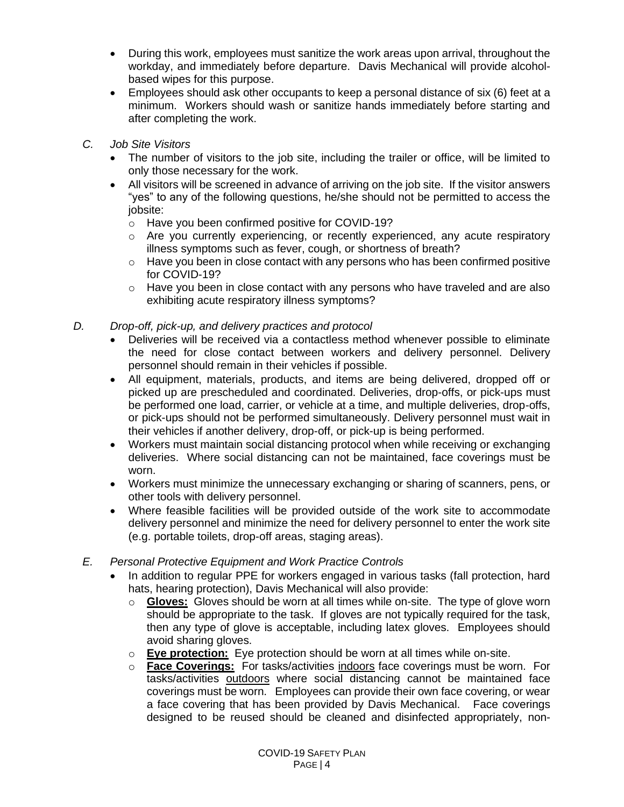- During this work, employees must sanitize the work areas upon arrival, throughout the workday, and immediately before departure. Davis Mechanical will provide alcoholbased wipes for this purpose.
- Employees should ask other occupants to keep a personal distance of six (6) feet at a minimum. Workers should wash or sanitize hands immediately before starting and after completing the work.
- *C. Job Site Visitors*
	- The number of visitors to the job site, including the trailer or office, will be limited to only those necessary for the work.
	- All visitors will be screened in advance of arriving on the job site. If the visitor answers "yes" to any of the following questions, he/she should not be permitted to access the jobsite:
		- o Have you been confirmed positive for COVID-19?
		- $\circ$  Are you currently experiencing, or recently experienced, any acute respiratory illness symptoms such as fever, cough, or shortness of breath?
		- $\circ$  Have you been in close contact with any persons who has been confirmed positive for COVID-19?
		- $\circ$  Have you been in close contact with any persons who have traveled and are also exhibiting acute respiratory illness symptoms?
- *D. Drop-off, pick-up, and delivery practices and protocol*
	- Deliveries will be received via a contactless method whenever possible to eliminate the need for close contact between workers and delivery personnel. Delivery personnel should remain in their vehicles if possible.
	- All equipment, materials, products, and items are being delivered, dropped off or picked up are prescheduled and coordinated. Deliveries, drop-offs, or pick-ups must be performed one load, carrier, or vehicle at a time, and multiple deliveries, drop-offs, or pick-ups should not be performed simultaneously. Delivery personnel must wait in their vehicles if another delivery, drop-off, or pick-up is being performed.
	- Workers must maintain social distancing protocol when while receiving or exchanging deliveries. Where social distancing can not be maintained, face coverings must be worn.
	- Workers must minimize the unnecessary exchanging or sharing of scanners, pens, or other tools with delivery personnel.
	- Where feasible facilities will be provided outside of the work site to accommodate delivery personnel and minimize the need for delivery personnel to enter the work site (e.g. portable toilets, drop-off areas, staging areas).
	- *E. Personal Protective Equipment and Work Practice Controls*
		- In addition to regular PPE for workers engaged in various tasks (fall protection, hard hats, hearing protection), Davis Mechanical will also provide:
			- o **Gloves:** Gloves should be worn at all times while on-site. The type of glove worn should be appropriate to the task. If gloves are not typically required for the task, then any type of glove is acceptable, including latex gloves. Employees should avoid sharing gloves.
			- o **Eye protection:** Eye protection should be worn at all times while on-site.
			- o **Face Coverings:** For tasks/activities indoors face coverings must be worn. For tasks/activities outdoors where social distancing cannot be maintained face coverings must be worn. Employees can provide their own face covering, or wear a face covering that has been provided by Davis Mechanical. Face coverings designed to be reused should be cleaned and disinfected appropriately, non-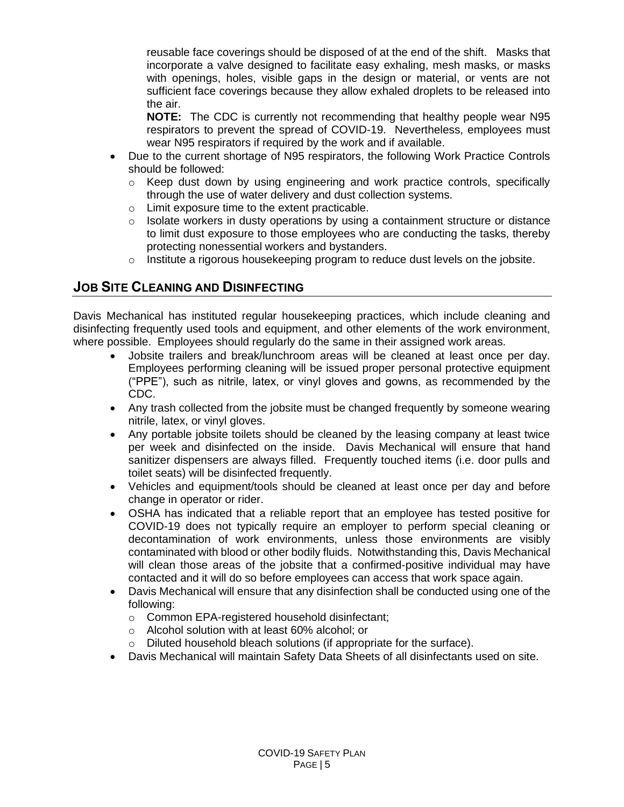reusable face coverings should be disposed of at the end of the shift. Masks that incorporate a valve designed to facilitate easy exhaling, mesh masks, or masks with openings, holes, visible gaps in the design or material, or vents are not sufficient face coverings because they allow exhaled droplets to be released into the air.

**NOTE:** The CDC is currently not recommending that healthy people wear N95 respirators to prevent the spread of COVID-19. Nevertheless, employees must wear N95 respirators if required by the work and if available.

- Due to the current shortage of N95 respirators, the following Work Practice Controls should be followed:
	- $\circ$  Keep dust down by using engineering and work practice controls, specifically through the use of water delivery and dust collection systems.
	- o Limit exposure time to the extent practicable.
	- $\circ$  Isolate workers in dusty operations by using a containment structure or distance to limit dust exposure to those employees who are conducting the tasks, thereby protecting nonessential workers and bystanders.
	- $\circ$  Institute a rigorous housekeeping program to reduce dust levels on the jobsite.

### **JOB SITE CLEANING AND DISINFECTING**

Davis Mechanical has instituted regular housekeeping practices, which include cleaning and disinfecting frequently used tools and equipment, and other elements of the work environment, where possible. Employees should regularly do the same in their assigned work areas.

- Jobsite trailers and break/lunchroom areas will be cleaned at least once per day. Employees performing cleaning will be issued proper personal protective equipment ("PPE"), such as nitrile, latex, or vinyl gloves and gowns, as recommended by the CDC.
- Any trash collected from the jobsite must be changed frequently by someone wearing nitrile, latex, or vinyl gloves.
- Any portable jobsite toilets should be cleaned by the leasing company at least twice per week and disinfected on the inside. Davis Mechanical will ensure that hand sanitizer dispensers are always filled. Frequently touched items (i.e. door pulls and toilet seats) will be disinfected frequently.
- Vehicles and equipment/tools should be cleaned at least once per day and before change in operator or rider.
- OSHA has indicated that a reliable report that an employee has tested positive for COVID-19 does not typically require an employer to perform special cleaning or decontamination of work environments, unless those environments are visibly contaminated with blood or other bodily fluids. Notwithstanding this, Davis Mechanical will clean those areas of the jobsite that a confirmed-positive individual may have contacted and it will do so before employees can access that work space again.
- Davis Mechanical will ensure that any disinfection shall be conducted using one of the following:
	- o Common EPA-registered household disinfectant;
	- o Alcohol solution with at least 60% alcohol; or
	- o Diluted household bleach solutions (if appropriate for the surface).
- Davis Mechanical will maintain Safety Data Sheets of all disinfectants used on site.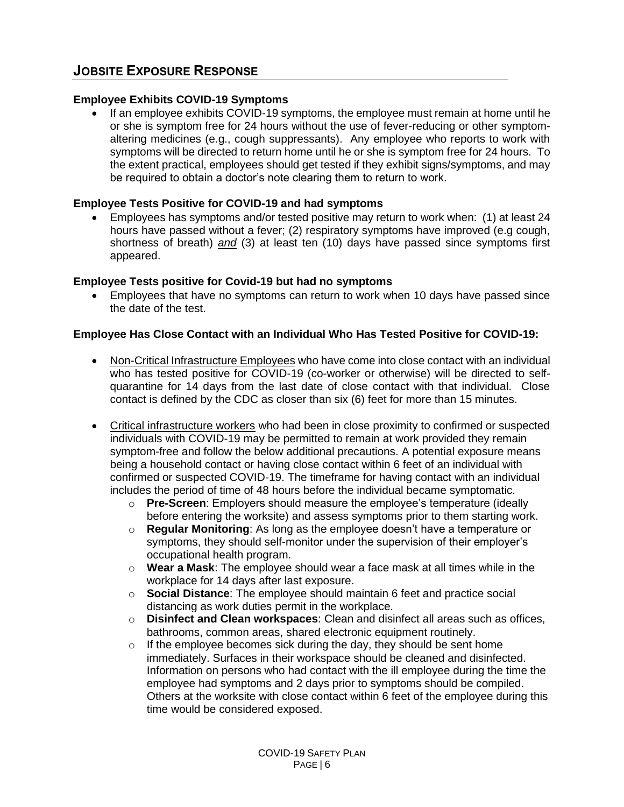#### **Employee Exhibits COVID-19 Symptoms**

• If an employee exhibits COVID-19 symptoms, the employee must remain at home until he or she is symptom free for 24 hours without the use of fever-reducing or other symptomaltering medicines (e.g., cough suppressants). Any employee who reports to work with symptoms will be directed to return home until he or she is symptom free for 24 hours. To the extent practical, employees should get tested if they exhibit signs/symptoms, and may be required to obtain a doctor's note clearing them to return to work.

#### **Employee Tests Positive for COVID-19 and had symptoms**

• Employees has symptoms and/or tested positive may return to work when: (1) at least 24 hours have passed without a fever; (2) respiratory symptoms have improved (e.g cough, shortness of breath) *and* (3) at least ten (10) days have passed since symptoms first appeared.

#### **Employee Tests positive for Covid-19 but had no symptoms**

• Employees that have no symptoms can return to work when 10 days have passed since the date of the test.

#### **Employee Has Close Contact with an Individual Who Has Tested Positive for COVID-19:**

- Non-Critical Infrastructure Employees who have come into close contact with an individual who has tested positive for COVID-19 (co-worker or otherwise) will be directed to selfquarantine for 14 days from the last date of close contact with that individual. Close contact is defined by the CDC as closer than six (6) feet for more than 15 minutes.
- Critical infrastructure workers who had been in close proximity to confirmed or suspected individuals with COVID-19 may be permitted to remain at work provided they remain symptom-free and follow the below additional precautions. A potential exposure means being a household contact or having close contact within 6 feet of an individual with confirmed or suspected COVID-19. The timeframe for having contact with an individual includes the period of time of 48 hours before the individual became symptomatic.
	- o **Pre-Screen**: Employers should measure the employee's temperature (ideally before entering the worksite) and assess symptoms prior to them starting work.
	- o **Regular Monitoring**: As long as the employee doesn't have a temperature or symptoms, they should self-monitor under the supervision of their employer's occupational health program.
	- o **Wear a Mask**: The employee should wear a face mask at all times while in the workplace for 14 days after last exposure.
	- o **Social Distance**: The employee should maintain 6 feet and practice social distancing as work duties permit in the workplace.
	- o **Disinfect and Clean workspaces**: Clean and disinfect all areas such as offices, bathrooms, common areas, shared electronic equipment routinely.
	- $\circ$  If the employee becomes sick during the day, they should be sent home immediately. Surfaces in their workspace should be cleaned and disinfected. Information on persons who had contact with the ill employee during the time the employee had symptoms and 2 days prior to symptoms should be compiled. Others at the worksite with close contact within 6 feet of the employee during this time would be considered exposed.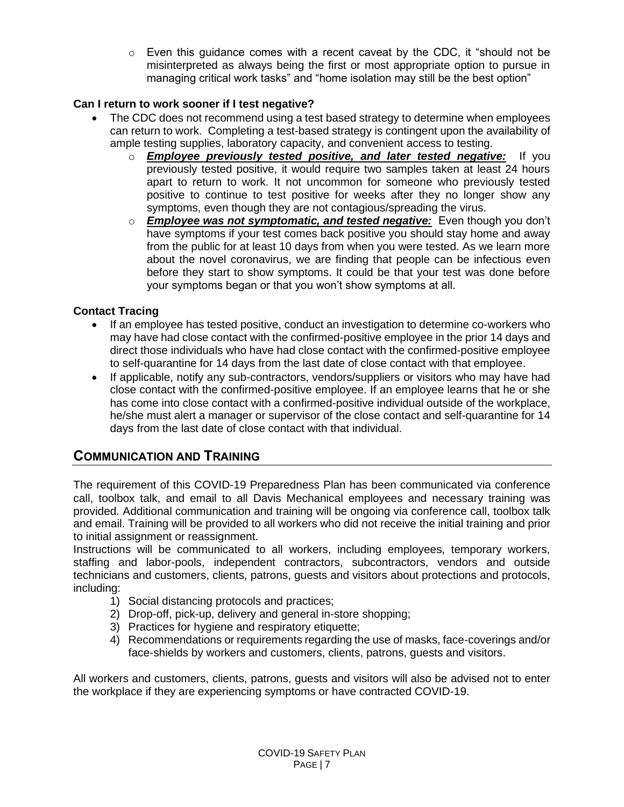$\circ$  Even this guidance comes with a recent caveat by the CDC, it "should not be misinterpreted as always being the first or most appropriate option to pursue in managing critical work tasks" and "home isolation may still be the best option"

#### **Can I return to work sooner if I test negative?**

- The CDC does not recommend using a test based strategy to determine when employees can return to work. Completing a test-based strategy is contingent upon the availability of ample testing supplies, laboratory capacity, and convenient access to testing.
	- o *Employee previously tested positive, and later tested negative:* If you previously tested positive, it would require two samples taken at least 24 hours apart to return to work. It not uncommon for someone who previously tested positive to continue to test positive for weeks after they no longer show any symptoms, even though they are not contagious/spreading the virus.
	- o *Employee was not symptomatic, and tested negative:* Even though you don't have symptoms if your test comes back positive you should stay home and away from the public for at least 10 days from when you were tested. As we learn more about the novel coronavirus, we are finding that people can be infectious even before they start to show symptoms. It could be that your test was done before your symptoms began or that you won't show symptoms at all.

### **Contact Tracing**

- If an employee has tested positive, conduct an investigation to determine co-workers who may have had close contact with the confirmed-positive employee in the prior 14 days and direct those individuals who have had close contact with the confirmed-positive employee to self-quarantine for 14 days from the last date of close contact with that employee.
- If applicable, notify any sub-contractors, vendors/suppliers or visitors who may have had close contact with the confirmed-positive employee. If an employee learns that he or she has come into close contact with a confirmed-positive individual outside of the workplace, he/she must alert a manager or supervisor of the close contact and self-quarantine for 14 days from the last date of close contact with that individual.

### **COMMUNICATION AND TRAINING**

The requirement of this COVID-19 Preparedness Plan has been communicated via conference call, toolbox talk, and email to all Davis Mechanical employees and necessary training was provided. Additional communication and training will be ongoing via conference call, toolbox talk and email. Training will be provided to all workers who did not receive the initial training and prior to initial assignment or reassignment.

Instructions will be communicated to all workers, including employees, temporary workers, staffing and labor-pools, independent contractors, subcontractors, vendors and outside technicians and customers, clients, patrons, guests and visitors about protections and protocols, including:

- 1) Social distancing protocols and practices;
- 2) Drop-off, pick-up, delivery and general in-store shopping;
- 3) Practices for hygiene and respiratory etiquette;
- 4) Recommendations or requirements regarding the use of masks, face-coverings and/or face-shields by workers and customers, clients, patrons, guests and visitors.

All workers and customers, clients, patrons, guests and visitors will also be advised not to enter the workplace if they are experiencing symptoms or have contracted COVID-19.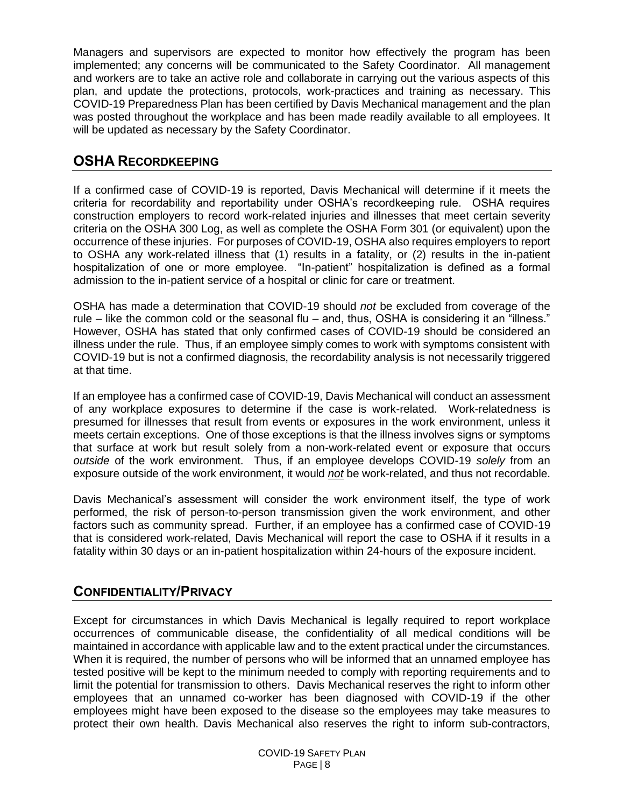Managers and supervisors are expected to monitor how effectively the program has been implemented; any concerns will be communicated to the Safety Coordinator. All management and workers are to take an active role and collaborate in carrying out the various aspects of this plan, and update the protections, protocols, work-practices and training as necessary. This COVID-19 Preparedness Plan has been certified by Davis Mechanical management and the plan was posted throughout the workplace and has been made readily available to all employees. It will be updated as necessary by the Safety Coordinator.

### **OSHA RECORDKEEPING**

If a confirmed case of COVID-19 is reported, Davis Mechanical will determine if it meets the criteria for recordability and reportability under OSHA's recordkeeping rule. OSHA requires construction employers to record work-related injuries and illnesses that meet certain severity criteria on the OSHA 300 Log, as well as complete the OSHA Form 301 (or equivalent) upon the occurrence of these injuries. For purposes of COVID-19, OSHA also requires employers to report to OSHA any work-related illness that (1) results in a fatality, or (2) results in the in-patient hospitalization of one or more employee. "In-patient" hospitalization is defined as a formal admission to the in-patient service of a hospital or clinic for care or treatment.

OSHA has made a determination that COVID-19 should *not* be excluded from coverage of the rule – like the common cold or the seasonal flu – and, thus, OSHA is considering it an "illness." However, OSHA has stated that only confirmed cases of COVID-19 should be considered an illness under the rule. Thus, if an employee simply comes to work with symptoms consistent with COVID-19 but is not a confirmed diagnosis, the recordability analysis is not necessarily triggered at that time.

If an employee has a confirmed case of COVID-19, Davis Mechanical will conduct an assessment of any workplace exposures to determine if the case is work-related. Work-relatedness is presumed for illnesses that result from events or exposures in the work environment, unless it meets certain exceptions. One of those exceptions is that the illness involves signs or symptoms that surface at work but result solely from a non-work-related event or exposure that occurs *outside* of the work environment. Thus, if an employee develops COVID-19 *solely* from an exposure outside of the work environment, it would *not* be work-related, and thus not recordable.

Davis Mechanical's assessment will consider the work environment itself, the type of work performed, the risk of person-to-person transmission given the work environment, and other factors such as community spread. Further, if an employee has a confirmed case of COVID-19 that is considered work-related, Davis Mechanical will report the case to OSHA if it results in a fatality within 30 days or an in-patient hospitalization within 24-hours of the exposure incident.

### **CONFIDENTIALITY/PRIVACY**

Except for circumstances in which Davis Mechanical is legally required to report workplace occurrences of communicable disease, the confidentiality of all medical conditions will be maintained in accordance with applicable law and to the extent practical under the circumstances. When it is required, the number of persons who will be informed that an unnamed employee has tested positive will be kept to the minimum needed to comply with reporting requirements and to limit the potential for transmission to others. Davis Mechanical reserves the right to inform other employees that an unnamed co-worker has been diagnosed with COVID-19 if the other employees might have been exposed to the disease so the employees may take measures to protect their own health. Davis Mechanical also reserves the right to inform sub-contractors,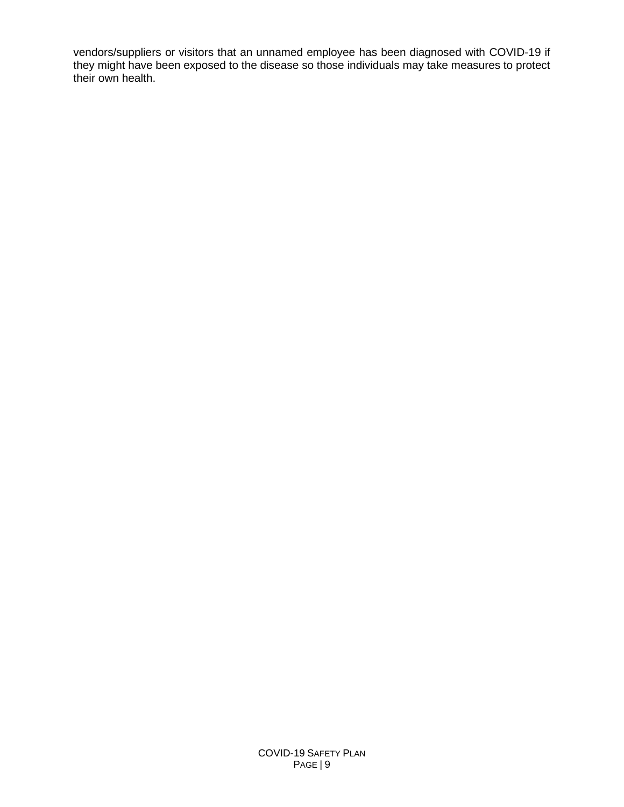vendors/suppliers or visitors that an unnamed employee has been diagnosed with COVID-19 if they might have been exposed to the disease so those individuals may take measures to protect their own health.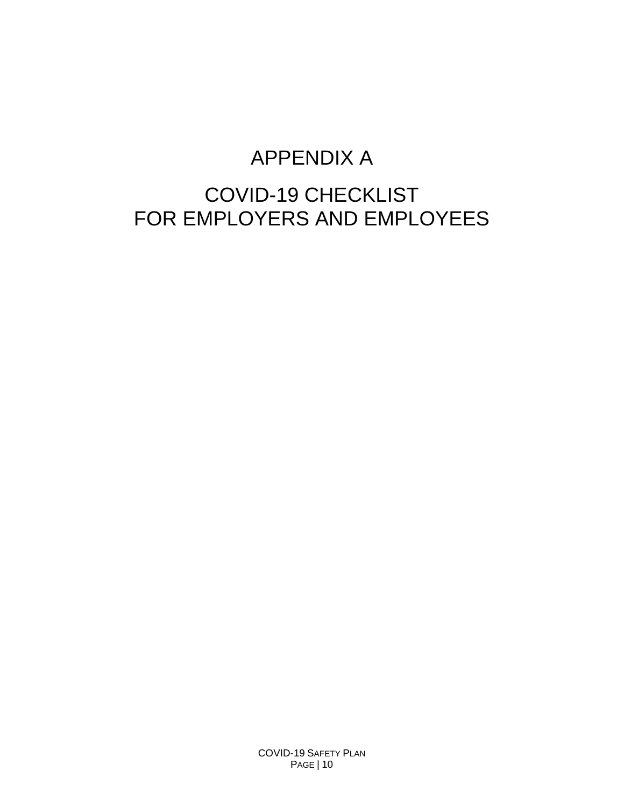## APPENDIX A

## COVID-19 CHECKLIST FOR EMPLOYERS AND EMPLOYEES

COVID-19 SAFETY PLAN PAGE | 10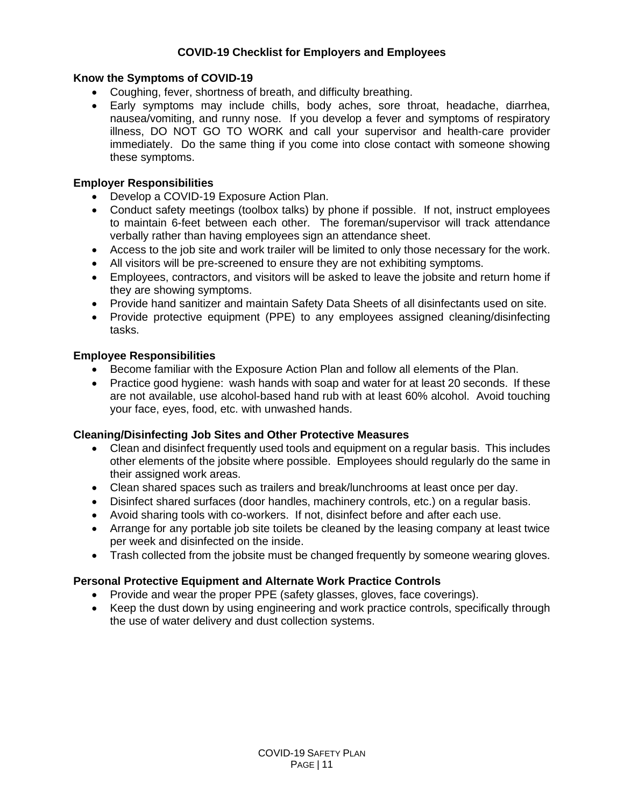#### **COVID-19 Checklist for Employers and Employees**

#### **Know the Symptoms of COVID-19**

- Coughing, fever, shortness of breath, and difficulty breathing.
- Early symptoms may include chills, body aches, sore throat, headache, diarrhea, nausea/vomiting, and runny nose. If you develop a fever and symptoms of respiratory illness, DO NOT GO TO WORK and call your supervisor and health-care provider immediately. Do the same thing if you come into close contact with someone showing these symptoms.

#### **Employer Responsibilities**

- Develop a COVID-19 Exposure Action Plan.
- Conduct safety meetings (toolbox talks) by phone if possible. If not, instruct employees to maintain 6-feet between each other. The foreman/supervisor will track attendance verbally rather than having employees sign an attendance sheet.
- Access to the job site and work trailer will be limited to only those necessary for the work.
- All visitors will be pre-screened to ensure they are not exhibiting symptoms.
- Employees, contractors, and visitors will be asked to leave the jobsite and return home if they are showing symptoms.
- Provide hand sanitizer and maintain Safety Data Sheets of all disinfectants used on site.
- Provide protective equipment (PPE) to any employees assigned cleaning/disinfecting tasks.

#### **Employee Responsibilities**

- Become familiar with the Exposure Action Plan and follow all elements of the Plan.
- Practice good hygiene: wash hands with soap and water for at least 20 seconds. If these are not available, use alcohol-based hand rub with at least 60% alcohol. Avoid touching your face, eyes, food, etc. with unwashed hands.

#### **Cleaning/Disinfecting Job Sites and Other Protective Measures**

- Clean and disinfect frequently used tools and equipment on a regular basis. This includes other elements of the jobsite where possible. Employees should regularly do the same in their assigned work areas.
- Clean shared spaces such as trailers and break/lunchrooms at least once per day.
- Disinfect shared surfaces (door handles, machinery controls, etc.) on a regular basis.
- Avoid sharing tools with co-workers. If not, disinfect before and after each use.
- Arrange for any portable job site toilets be cleaned by the leasing company at least twice per week and disinfected on the inside.
- Trash collected from the jobsite must be changed frequently by someone wearing gloves.

#### **Personal Protective Equipment and Alternate Work Practice Controls**

- Provide and wear the proper PPE (safety glasses, gloves, face coverings).
- Keep the dust down by using engineering and work practice controls, specifically through the use of water delivery and dust collection systems.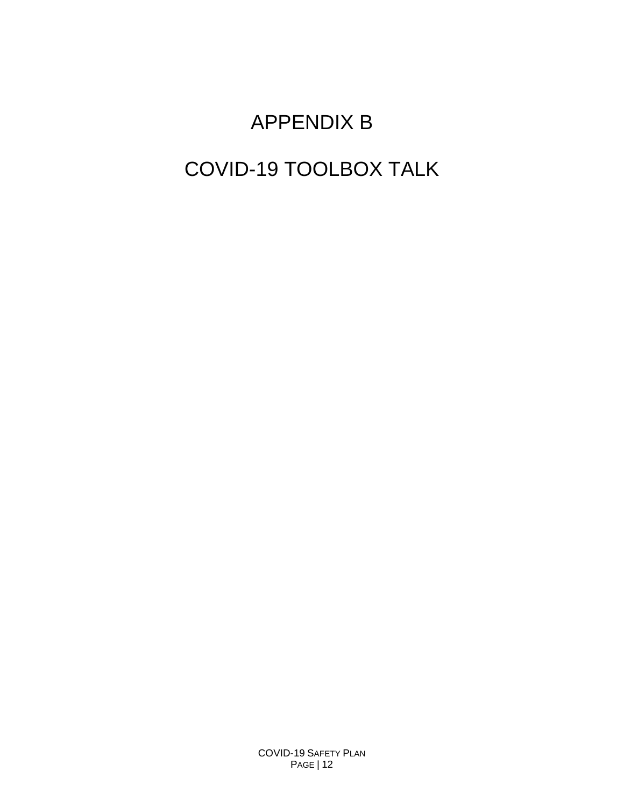# APPENDIX B COVID-19 TOOLBOX TALK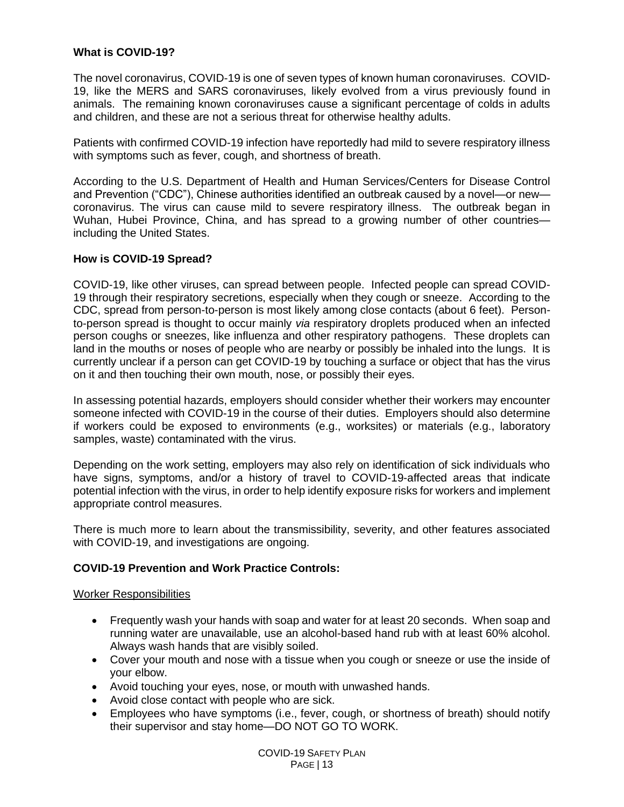#### **What is COVID-19?**

The novel coronavirus, COVID-19 is one of seven types of known human coronaviruses. COVID-19, like the MERS and SARS coronaviruses, likely evolved from a virus previously found in animals. The remaining known coronaviruses cause a significant percentage of colds in adults and children, and these are not a serious threat for otherwise healthy adults.

Patients with confirmed COVID-19 infection have reportedly had mild to severe respiratory illness with symptoms such as fever, cough, and shortness of breath.

According to the U.S. Department of Health and Human Services/Centers for Disease Control and Prevention ("CDC"), Chinese authorities identified an outbreak caused by a novel—or new coronavirus. The virus can cause mild to severe respiratory illness. The outbreak began in Wuhan, Hubei Province, China, and has spread to a growing number of other countries including the United States.

#### **How is COVID-19 Spread?**

COVID-19, like other viruses, can spread between people. Infected people can spread COVID-19 through their respiratory secretions, especially when they cough or sneeze. According to the CDC, spread from person-to-person is most likely among close contacts (about 6 feet). Personto-person spread is thought to occur mainly *via* respiratory droplets produced when an infected person coughs or sneezes, like influenza and other respiratory pathogens. These droplets can land in the mouths or noses of people who are nearby or possibly be inhaled into the lungs. It is currently unclear if a person can get COVID-19 by touching a surface or object that has the virus on it and then touching their own mouth, nose, or possibly their eyes.

In assessing potential hazards, employers should consider whether their workers may encounter someone infected with COVID-19 in the course of their duties. Employers should also determine if workers could be exposed to environments (e.g., worksites) or materials (e.g., laboratory samples, waste) contaminated with the virus.

Depending on the work setting, employers may also rely on identification of sick individuals who have signs, symptoms, and/or a history of travel to COVID-19-affected areas that indicate potential infection with the virus, in order to help identify exposure risks for workers and implement appropriate control measures.

There is much more to learn about the transmissibility, severity, and other features associated with COVID-19, and investigations are ongoing.

#### **COVID-19 Prevention and Work Practice Controls:**

#### Worker Responsibilities

- Frequently wash your hands with soap and water for at least 20 seconds. When soap and running water are unavailable, use an alcohol-based hand rub with at least 60% alcohol. Always wash hands that are visibly soiled.
- Cover your mouth and nose with a tissue when you cough or sneeze or use the inside of your elbow.
- Avoid touching your eyes, nose, or mouth with unwashed hands.
- Avoid close contact with people who are sick.
- Employees who have symptoms (i.e., fever, cough, or shortness of breath) should notify their supervisor and stay home—DO NOT GO TO WORK.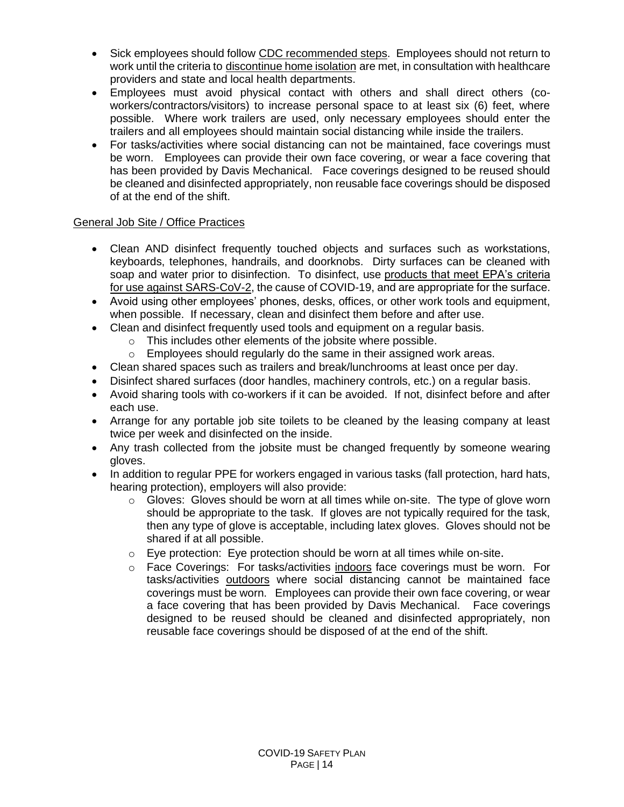- Sick employees should follow CDC [recommended steps.](https://www.cdc.gov/coronavirus/2019-ncov/about/steps-when-sick.html) Employees should not return to work until the criteria to [discontinue home isolation](https://www.cdc.gov/coronavirus/2019-ncov/hcp/disposition-in-home-patients.html) are met, in consultation with healthcare providers and state and local health departments.
- Employees must avoid physical contact with others and shall direct others (coworkers/contractors/visitors) to increase personal space to at least six (6) feet, where possible. Where work trailers are used, only necessary employees should enter the trailers and all employees should maintain social distancing while inside the trailers.
- For tasks/activities where social distancing can not be maintained, face coverings must be worn. Employees can provide their own face covering, or wear a face covering that has been provided by Davis Mechanical. Face coverings designed to be reused should be cleaned and disinfected appropriately, non reusable face coverings should be disposed of at the end of the shift.

#### General Job Site / Office Practices

- Clean AND disinfect frequently touched objects and surfaces such as workstations, keyboards, telephones, handrails, and doorknobs. Dirty surfaces can be cleaned with soap and water prior to disinfection. To disinfect, use [products that meet EPA's criteria](https://www.epa.gov/pesticide-registration/list-n-disinfectants-use-against-sars-cov-2)  [for use against SARS-CoV-2,](https://www.epa.gov/pesticide-registration/list-n-disinfectants-use-against-sars-cov-2) the cause of COVID-19, and are appropriate for the surface.
- Avoid using other employees' phones, desks, offices, or other work tools and equipment, when possible. If necessary, clean and disinfect them before and after use.
- Clean and disinfect frequently used tools and equipment on a regular basis.
	- o This includes other elements of the jobsite where possible.
	- o Employees should regularly do the same in their assigned work areas.
- Clean shared spaces such as trailers and break/lunchrooms at least once per day.
- Disinfect shared surfaces (door handles, machinery controls, etc.) on a regular basis.
- Avoid sharing tools with co-workers if it can be avoided. If not, disinfect before and after each use.
- Arrange for any portable job site toilets to be cleaned by the leasing company at least twice per week and disinfected on the inside.
- Any trash collected from the jobsite must be changed frequently by someone wearing gloves.
- In addition to regular PPE for workers engaged in various tasks (fall protection, hard hats, hearing protection), employers will also provide:
	- $\circ$  Gloves: Gloves should be worn at all times while on-site. The type of glove worn should be appropriate to the task. If gloves are not typically required for the task, then any type of glove is acceptable, including latex gloves. Gloves should not be shared if at all possible.
	- o Eye protection: Eye protection should be worn at all times while on-site.
	- o Face Coverings: For tasks/activities indoors face coverings must be worn. For tasks/activities outdoors where social distancing cannot be maintained face coverings must be worn. Employees can provide their own face covering, or wear a face covering that has been provided by Davis Mechanical. Face coverings designed to be reused should be cleaned and disinfected appropriately, non reusable face coverings should be disposed of at the end of the shift.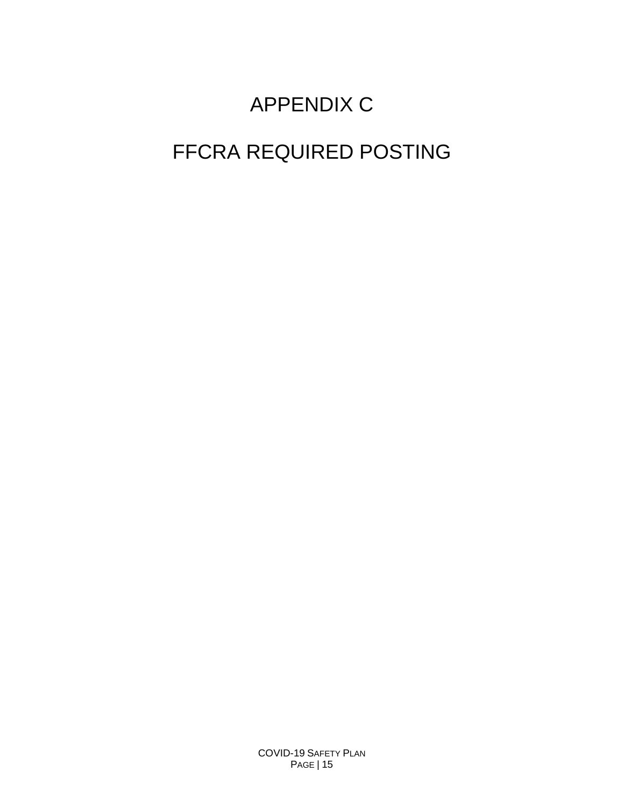# APPENDIX C

# FFCRA REQUIRED POSTING

COVID-19 SAFETY PLAN PAGE | 15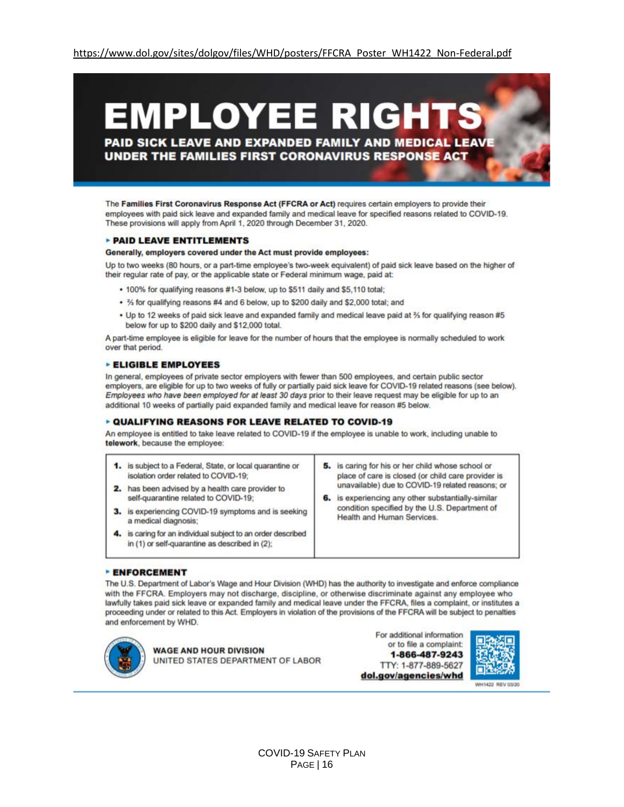# EMPLOYEE RIGH PAID SICK LEAVE AND EXPANDED FAMILY AND MEDICAL LEAV

UNDER THE FAMILIES FIRST CORONAVIRUS RESPONSE ACT

The Families First Coronavirus Response Act (FFCRA or Act) requires certain employers to provide their employees with paid sick leave and expanded family and medical leave for specified reasons related to COVID-19. These provisions will apply from April 1, 2020 through December 31, 2020.

#### **PAID LEAVE ENTITLEMENTS**

#### Generally, employers covered under the Act must provide employees:

Up to two weeks (80 hours, or a part-time employee's two-week equivalent) of paid sick leave based on the higher of their regular rate of pay, or the applicable state or Federal minimum wage, paid at:

- . 100% for qualifying reasons #1-3 below, up to \$511 daily and \$5,110 total;
- . % for qualifying reasons #4 and 6 below, up to \$200 daily and \$2,000 total; and
- Up to 12 weeks of paid sick leave and expanded family and medical leave paid at 36 for qualifying reason #5 below for up to \$200 daily and \$12,000 total.

A part-time employee is eligible for leave for the number of hours that the employee is normally scheduled to work over that period.

#### **ELIGIBLE EMPLOYEES**

In general, employees of private sector employers with fewer than 500 employees, and certain public sector employers, are eligible for up to two weeks of fully or partially paid sick leave for COVID-19 related reasons (see below). Employees who have been employed for at least 30 days prior to their leave request may be eligible for up to an additional 10 weeks of partially paid expanded family and medical leave for reason #5 below.

#### **DIALIFYING REASONS FOR LEAVE RELATED TO COVID-19**

An employee is entitled to take leave related to COVID-19 if the employee is unable to work, including unable to telework, because the employee:

| is subject to a Federal, State, or local quarantine or<br>isolation order related to COVID-19:<br>has been advised by a health care provider to | 5. is caring for his or her child whose school or<br>place of care is closed (or child care provider is<br>unavailable) due to COVID-19 related reasons; or |  |
|-------------------------------------------------------------------------------------------------------------------------------------------------|-------------------------------------------------------------------------------------------------------------------------------------------------------------|--|
| self-quarantine related to COVID-19:                                                                                                            | 6. is experiencing any other substantially-similar                                                                                                          |  |
| is experiencing COVID-19 symptoms and is seeking<br>a medical diagnosis;                                                                        | condition specified by the U.S. Department of<br>Health and Human Services.                                                                                 |  |
| is caring for an individual subject to an order described<br>in (1) or self-quarantine as described in (2);                                     |                                                                                                                                                             |  |

#### **- ENFORCEMENT**

The U.S. Department of Labor's Wage and Hour Division (WHD) has the authority to investigate and enforce compliance with the FFCRA. Employers may not discharge, discipline, or otherwise discriminate against any employee who lawfully takes paid sick leave or expanded family and medical leave under the FFCRA, files a complaint, or institutes a proceeding under or related to this Act. Employers in violation of the provisions of the FFCRA will be subject to penalties and enforcement by WHD.



**WAGE AND HOUR DIVISION** UNITED STATES DEPARTMENT OF LABOR

For additional information or to file a complaint: 1-866-487-9243 TTY: 1-877-889-5627 dol.gov/agencies/whd



WH1422 REV 03/20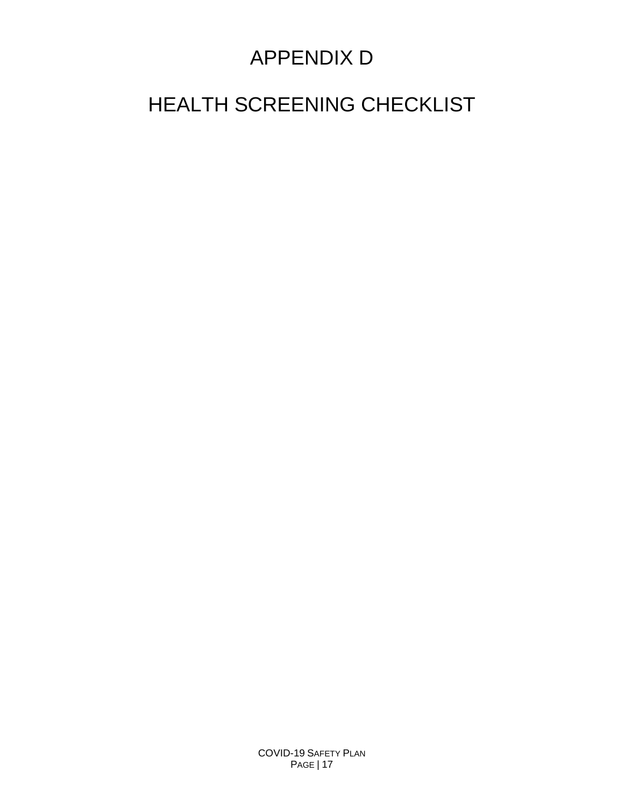# APPENDIX D

# HEALTH SCREENING CHECKLIST

COVID-19 SAFETY PLAN PAGE | 17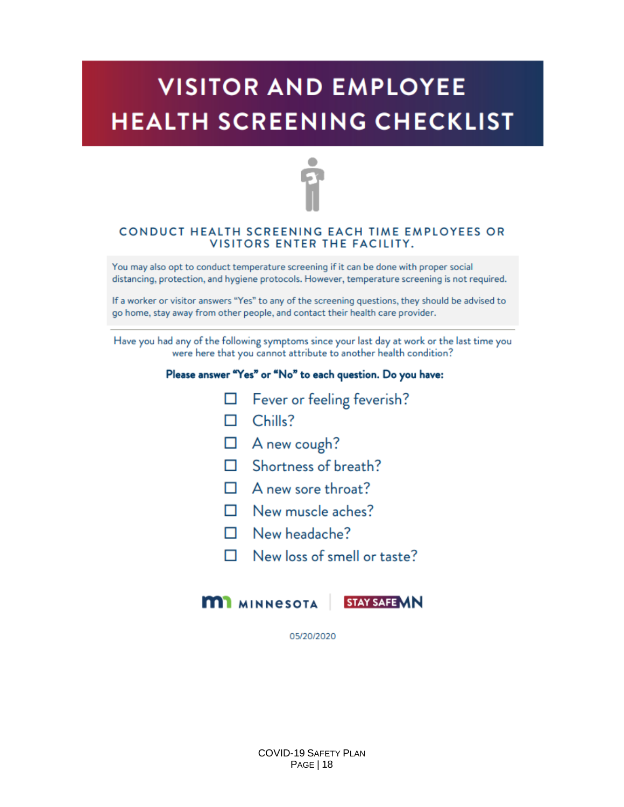# **VISITOR AND EMPLOYEE HEALTH SCREENING CHECKLIST**



#### CONDUCT HEALTH SCREENING EACH TIME EMPLOYEES OR VISITORS ENTER THE FACILITY.

You may also opt to conduct temperature screening if it can be done with proper social distancing, protection, and hygiene protocols. However, temperature screening is not required.

If a worker or visitor answers "Yes" to any of the screening questions, they should be advised to go home, stay away from other people, and contact their health care provider.

Have you had any of the following symptoms since your last day at work or the last time you were here that you cannot attribute to another health condition?

#### Please answer "Yes" or "No" to each question. Do you have:

- $\Box$  Fever or feeling feverish?
- $\Box$  Chills?
- $\Box$  A new cough?
- $\Box$  Shortness of breath?
- $\Box$  A new sore throat?
- $\Box$  New muscle aches?
- $\Box$  New headache?
- $\Box$  New loss of smell or taste?



05/20/2020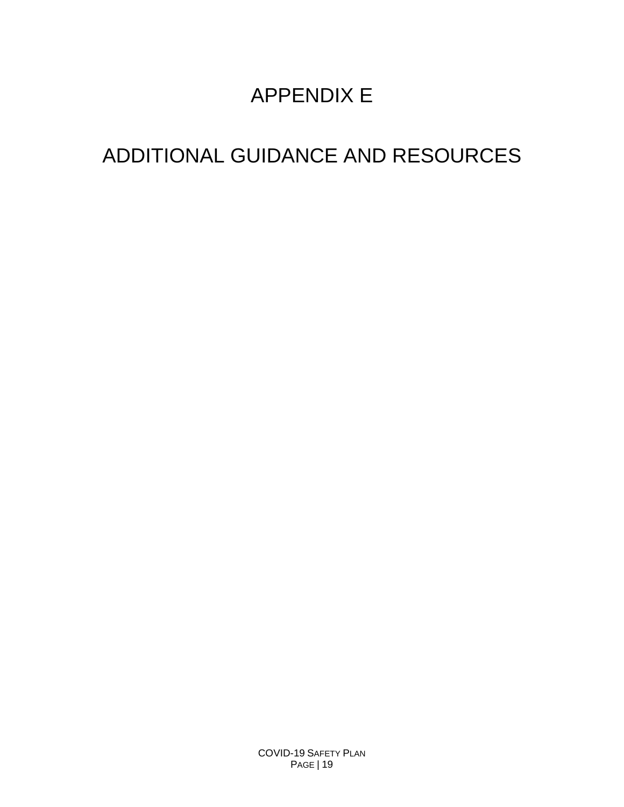# APPENDIX E

# ADDITIONAL GUIDANCE AND RESOURCES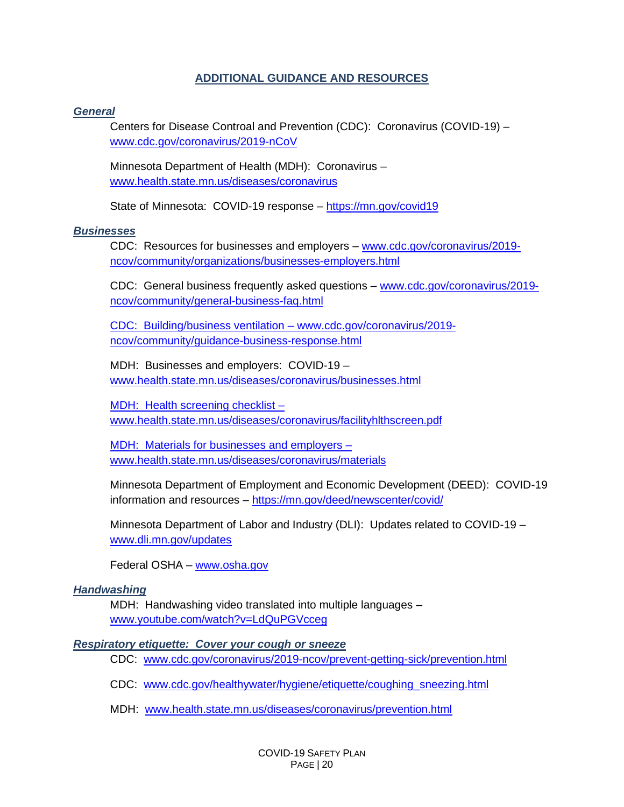#### **ADDITIONAL GUIDANCE AND RESOURCES**

#### *General*

Centers for Disease Controal and Prevention (CDC): Coronavirus (COVID-19) – [www.cdc.gov/coronavirus/2019-nCoV](http://www.cdc.gov/coronavirus/2019-nCoV)

Minnesota Department of Health (MDH): Coronavirus – [www.health.state.mn.us/diseases/coronavirus](http://www.health.state.mn.us/diseases/coronavirus)

State of Minnesota: COVID-19 response – [https://mn.gov/covid19](https://mn.gov/covid19/)

#### *Businesses*

CDC: Resources for businesses and employers - [www.cdc.gov/coronavirus/2019](http://www.cdc.gov/coronavirus/2019-ncov/community/organizations/businesses-employers.html) [ncov/community/organizations/businesses-employers.html](http://www.cdc.gov/coronavirus/2019-ncov/community/organizations/businesses-employers.html)

CDC: General business frequently asked questions – [www.cdc.gov/coronavirus/2019](http://www.cdc.gov/coronavirus/2019-ncov/community/general-business-faq.html) [ncov/community/general-business-faq.html](http://www.cdc.gov/coronavirus/2019-ncov/community/general-business-faq.html)

CDC: Building/business ventilation – [www.cdc.gov/coronavirus/2019](http://www.cdc.gov/coronavirus/2019-ncov/community/guidance-business-response.html) [ncov/community/guidance-business-response.html](http://www.cdc.gov/coronavirus/2019-ncov/community/guidance-business-response.html)

MDH: Businesses and employers: COVID-19 – [www.health.state.mn.us/diseases/coronavirus/businesses.html](http://www.health.state.mn.us/diseases/coronavirus/businesses.html)

MDH: Health screening checklist – [www.health.state.mn.us/diseases/coronavirus/facilityhlthscreen.pdf](http://www.health.state.mn.us/diseases/coronavirus/facilityhlthscreen.pdf)

MDH: Materials for businesses and employers – [www.health.state.mn.us/diseases/coronavirus/materials](http://www.health.state.mn.us/diseases/coronavirus/materials)

Minnesota Department of Employment and Economic Development (DEED): COVID-19 information and resources – <https://mn.gov/deed/newscenter/covid/>

Minnesota Department of Labor and Industry (DLI): Updates related to COVID-19 – [www.dli.mn.gov/updates](http://www.dli.mn.gov/updates)

Federal OSHA – [www.osha.gov](http://www.osha.gov/)

#### *Handwashing*

MDH: Handwashing video translated into multiple languages – [www.youtube.com/watch?v=LdQuPGVcceg](http://www.youtube.com/watch?v=LdQuPGVcceg)

#### *Respiratory etiquette: Cover your cough or sneeze*

CDC: [www.cdc.gov/coronavirus/2019-ncov/prevent-getting-sick/prevention.html](http://www.cdc.gov/coronavirus/2019-ncov/prevent-getting-sick/prevention.html)

CDC: [www.cdc.gov/healthywater/hygiene/etiquette/coughing\\_sneezing.html](http://www.cdc.gov/healthywater/hygiene/etiquette/coughing_sneezing.html)

MDH: [www.health.state.mn.us/diseases/coronavirus/prevention.html](http://www.health.state.mn.us/diseases/coronavirus/prevention.html)